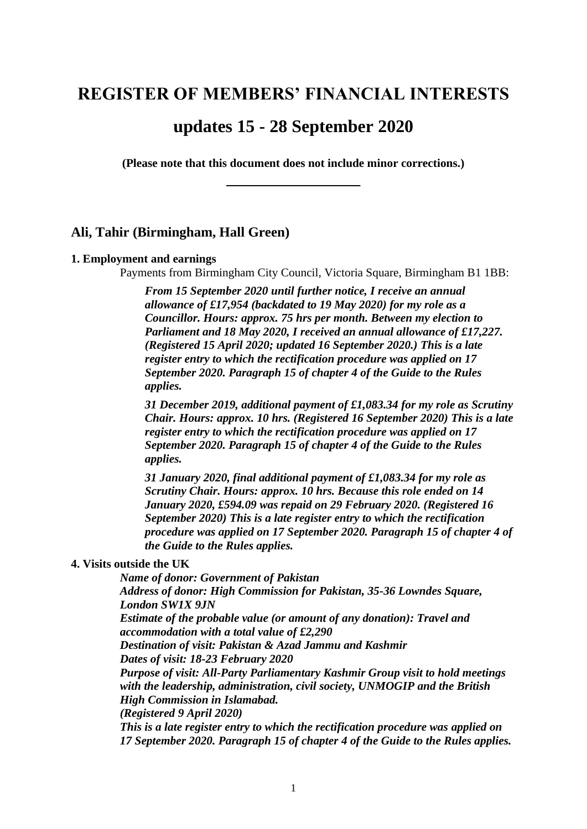# **REGISTER OF MEMBERS' FINANCIAL INTERESTS**

# **updates 15 - 28 September 2020**

**(Please note that this document does not include minor corrections.) \_\_\_\_\_\_\_\_\_\_\_\_\_\_\_\_\_**

# **Ali, Tahir (Birmingham, Hall Green)**

#### **1. Employment and earnings**

Payments from Birmingham City Council, Victoria Square, Birmingham B1 1BB:

*From 15 September 2020 until further notice, I receive an annual allowance of £17,954 (backdated to 19 May 2020) for my role as a Councillor. Hours: approx. 75 hrs per month. Between my election to Parliament and 18 May 2020, I received an annual allowance of £17,227. (Registered 15 April 2020; updated 16 September 2020.) This is a late register entry to which the rectification procedure was applied on 17 September 2020. Paragraph 15 of chapter 4 of the Guide to the Rules applies.*

*31 December 2019, additional payment of £1,083.34 for my role as Scrutiny Chair. Hours: approx. 10 hrs. (Registered 16 September 2020) This is a late register entry to which the rectification procedure was applied on 17 September 2020. Paragraph 15 of chapter 4 of the Guide to the Rules applies.*

*31 January 2020, final additional payment of £1,083.34 for my role as Scrutiny Chair. Hours: approx. 10 hrs. Because this role ended on 14 January 2020, £594.09 was repaid on 29 February 2020. (Registered 16 September 2020) This is a late register entry to which the rectification procedure was applied on 17 September 2020. Paragraph 15 of chapter 4 of the Guide to the Rules applies.*

#### **4. Visits outside the UK**

*Name of donor: Government of Pakistan Address of donor: High Commission for Pakistan, 35-36 Lowndes Square, London SW1X 9JN Estimate of the probable value (or amount of any donation): Travel and accommodation with a total value of £2,290 Destination of visit: Pakistan & Azad Jammu and Kashmir Dates of visit: 18-23 February 2020 Purpose of visit: All-Party Parliamentary Kashmir Group visit to hold meetings with the leadership, administration, civil society, UNMOGIP and the British High Commission in Islamabad. (Registered 9 April 2020) This is a late register entry to which the rectification procedure was applied on 17 September 2020. Paragraph 15 of chapter 4 of the Guide to the Rules applies.*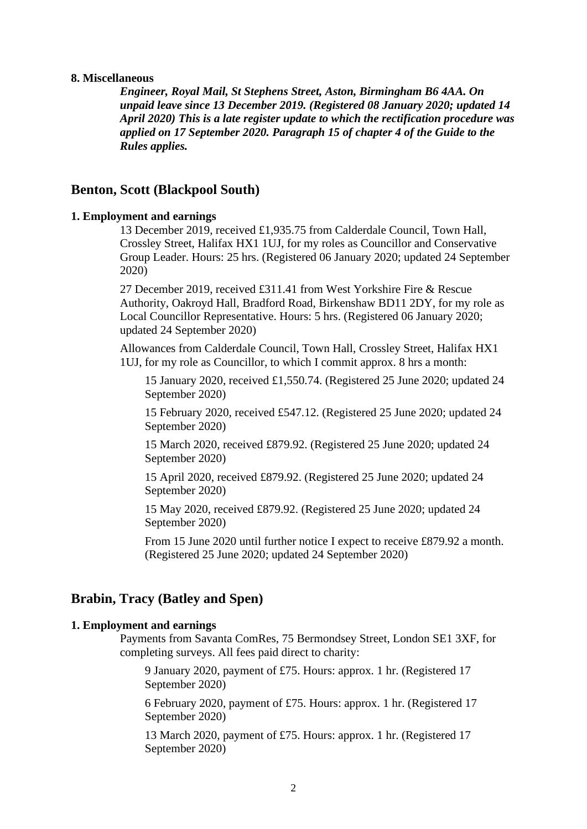#### **8. Miscellaneous**

*Engineer, Royal Mail, St Stephens Street, Aston, Birmingham B6 4AA. On unpaid leave since 13 December 2019. (Registered 08 January 2020; updated 14 April 2020) This is a late register update to which the rectification procedure was applied on 17 September 2020. Paragraph 15 of chapter 4 of the Guide to the Rules applies.*

# **Benton, Scott (Blackpool South)**

### **1. Employment and earnings**

13 December 2019, received £1,935.75 from Calderdale Council, Town Hall, Crossley Street, Halifax HX1 1UJ, for my roles as Councillor and Conservative Group Leader. Hours: 25 hrs. (Registered 06 January 2020; updated 24 September 2020)

27 December 2019, received £311.41 from West Yorkshire Fire & Rescue Authority, Oakroyd Hall, Bradford Road, Birkenshaw BD11 2DY, for my role as Local Councillor Representative. Hours: 5 hrs. (Registered 06 January 2020; updated 24 September 2020)

Allowances from Calderdale Council, Town Hall, Crossley Street, Halifax HX1 1UJ, for my role as Councillor, to which I commit approx. 8 hrs a month:

15 January 2020, received £1,550.74. (Registered 25 June 2020; updated 24 September 2020)

15 February 2020, received £547.12. (Registered 25 June 2020; updated 24 September 2020)

15 March 2020, received £879.92. (Registered 25 June 2020; updated 24 September 2020)

15 April 2020, received £879.92. (Registered 25 June 2020; updated 24 September 2020)

15 May 2020, received £879.92. (Registered 25 June 2020; updated 24 September 2020)

From 15 June 2020 until further notice I expect to receive £879.92 a month. (Registered 25 June 2020; updated 24 September 2020)

# **Brabin, Tracy (Batley and Spen)**

### **1. Employment and earnings**

Payments from Savanta ComRes, 75 Bermondsey Street, London SE1 3XF, for completing surveys. All fees paid direct to charity:

9 January 2020, payment of £75. Hours: approx. 1 hr. (Registered 17 September 2020)

6 February 2020, payment of £75. Hours: approx. 1 hr. (Registered 17 September 2020)

13 March 2020, payment of £75. Hours: approx. 1 hr. (Registered 17 September 2020)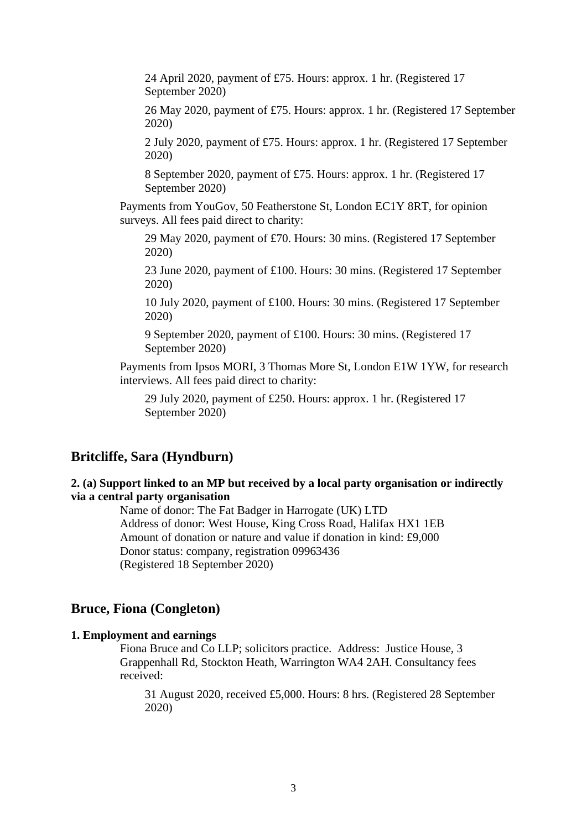24 April 2020, payment of £75. Hours: approx. 1 hr. (Registered 17 September 2020)

26 May 2020, payment of £75. Hours: approx. 1 hr. (Registered 17 September 2020)

2 July 2020, payment of £75. Hours: approx. 1 hr. (Registered 17 September 2020)

8 September 2020, payment of £75. Hours: approx. 1 hr. (Registered 17 September 2020)

Payments from YouGov, 50 Featherstone St, London EC1Y 8RT, for opinion surveys. All fees paid direct to charity:

29 May 2020, payment of £70. Hours: 30 mins. (Registered 17 September 2020)

23 June 2020, payment of £100. Hours: 30 mins. (Registered 17 September 2020)

10 July 2020, payment of £100. Hours: 30 mins. (Registered 17 September 2020)

9 September 2020, payment of £100. Hours: 30 mins. (Registered 17 September 2020)

Payments from Ipsos MORI, 3 Thomas More St, London E1W 1YW, for research interviews. All fees paid direct to charity:

29 July 2020, payment of £250. Hours: approx. 1 hr. (Registered 17 September 2020)

### **Britcliffe, Sara (Hyndburn)**

### **2. (a) Support linked to an MP but received by a local party organisation or indirectly via a central party organisation**

Name of donor: The Fat Badger in Harrogate (UK) LTD Address of donor: West House, King Cross Road, Halifax HX1 1EB Amount of donation or nature and value if donation in kind: £9,000 Donor status: company, registration 09963436 (Registered 18 September 2020)

# **Bruce, Fiona (Congleton)**

#### **1. Employment and earnings**

Fiona Bruce and Co LLP; solicitors practice. Address: Justice House, 3 Grappenhall Rd, Stockton Heath, Warrington WA4 2AH. Consultancy fees received:

31 August 2020, received £5,000. Hours: 8 hrs. (Registered 28 September 2020)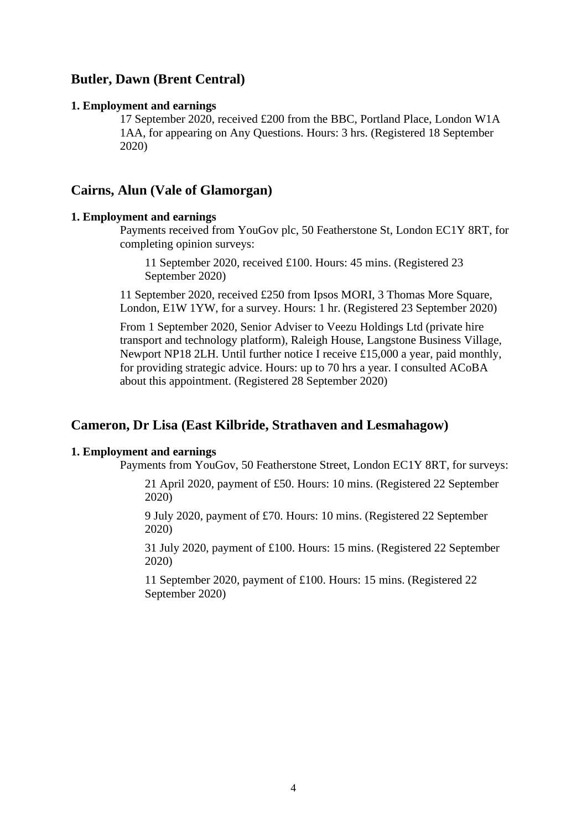# **Butler, Dawn (Brent Central)**

#### **1. Employment and earnings**

17 September 2020, received £200 from the BBC, Portland Place, London W1A 1AA, for appearing on Any Questions. Hours: 3 hrs. (Registered 18 September 2020)

### **Cairns, Alun (Vale of Glamorgan)**

### **1. Employment and earnings**

Payments received from YouGov plc, 50 Featherstone St, London EC1Y 8RT, for completing opinion surveys:

11 September 2020, received £100. Hours: 45 mins. (Registered 23 September 2020)

11 September 2020, received £250 from Ipsos MORI, 3 Thomas More Square, London, E1W 1YW, for a survey. Hours: 1 hr. (Registered 23 September 2020)

From 1 September 2020, Senior Adviser to Veezu Holdings Ltd (private hire transport and technology platform), Raleigh House, Langstone Business Village, Newport NP18 2LH. Until further notice I receive £15,000 a year, paid monthly, for providing strategic advice. Hours: up to 70 hrs a year. I consulted ACoBA about this appointment. (Registered 28 September 2020)

# **Cameron, Dr Lisa (East Kilbride, Strathaven and Lesmahagow)**

#### **1. Employment and earnings**

Payments from YouGov, 50 Featherstone Street, London EC1Y 8RT, for surveys:

21 April 2020, payment of £50. Hours: 10 mins. (Registered 22 September 2020)

9 July 2020, payment of £70. Hours: 10 mins. (Registered 22 September 2020)

31 July 2020, payment of £100. Hours: 15 mins. (Registered 22 September 2020)

11 September 2020, payment of £100. Hours: 15 mins. (Registered 22 September 2020)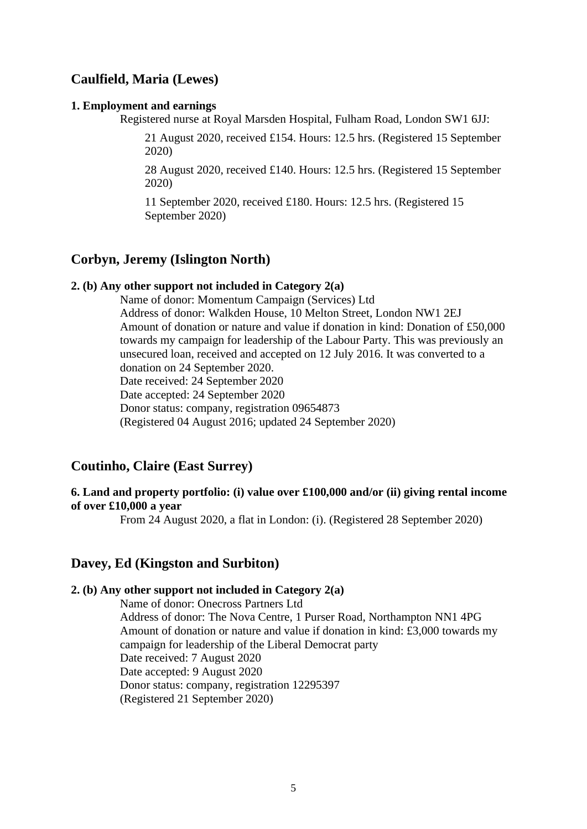# **Caulfield, Maria (Lewes)**

#### **1. Employment and earnings**

Registered nurse at Royal Marsden Hospital, Fulham Road, London SW1 6JJ:

21 August 2020, received £154. Hours: 12.5 hrs. (Registered 15 September 2020)

28 August 2020, received £140. Hours: 12.5 hrs. (Registered 15 September 2020)

11 September 2020, received £180. Hours: 12.5 hrs. (Registered 15 September 2020)

# **Corbyn, Jeremy (Islington North)**

### **2. (b) Any other support not included in Category 2(a)**

Name of donor: Momentum Campaign (Services) Ltd Address of donor: Walkden House, 10 Melton Street, London NW1 2EJ Amount of donation or nature and value if donation in kind: Donation of £50,000 towards my campaign for leadership of the Labour Party. This was previously an unsecured loan, received and accepted on 12 July 2016. It was converted to a donation on 24 September 2020. Date received: 24 September 2020 Date accepted: 24 September 2020 Donor status: company, registration 09654873 (Registered 04 August 2016; updated 24 September 2020)

### **Coutinho, Claire (East Surrey)**

### **6. Land and property portfolio: (i) value over £100,000 and/or (ii) giving rental income of over £10,000 a year**

From 24 August 2020, a flat in London: (i). (Registered 28 September 2020)

### **Davey, Ed (Kingston and Surbiton)**

### **2. (b) Any other support not included in Category 2(a)**

Name of donor: Onecross Partners Ltd Address of donor: The Nova Centre, 1 Purser Road, Northampton NN1 4PG Amount of donation or nature and value if donation in kind: £3,000 towards my campaign for leadership of the Liberal Democrat party Date received: 7 August 2020 Date accepted: 9 August 2020 Donor status: company, registration 12295397 (Registered 21 September 2020)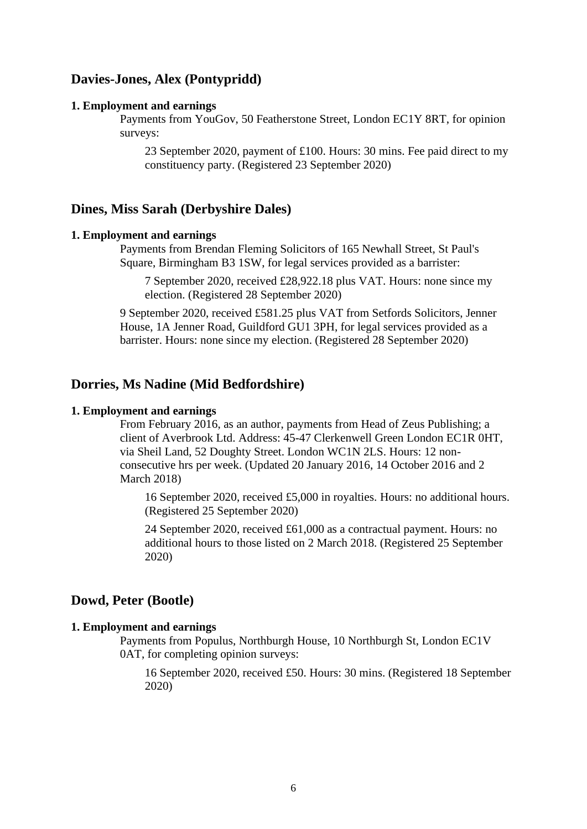# **Davies-Jones, Alex (Pontypridd)**

#### **1. Employment and earnings**

Payments from YouGov, 50 Featherstone Street, London EC1Y 8RT, for opinion surveys:

23 September 2020, payment of £100. Hours: 30 mins. Fee paid direct to my constituency party. (Registered 23 September 2020)

### **Dines, Miss Sarah (Derbyshire Dales)**

### **1. Employment and earnings**

Payments from Brendan Fleming Solicitors of 165 Newhall Street, St Paul's Square, Birmingham B3 1SW, for legal services provided as a barrister:

7 September 2020, received £28,922.18 plus VAT. Hours: none since my election. (Registered 28 September 2020)

9 September 2020, received £581.25 plus VAT from Setfords Solicitors, Jenner House, 1A Jenner Road, Guildford GU1 3PH, for legal services provided as a barrister. Hours: none since my election. (Registered 28 September 2020)

### **Dorries, Ms Nadine (Mid Bedfordshire)**

### **1. Employment and earnings**

From February 2016, as an author, payments from Head of Zeus Publishing; a client of Averbrook Ltd. Address: 45-47 Clerkenwell Green London EC1R 0HT, via Sheil Land, 52 Doughty Street. London WC1N 2LS. Hours: 12 nonconsecutive hrs per week. (Updated 20 January 2016, 14 October 2016 and 2 March 2018)

16 September 2020, received £5,000 in royalties. Hours: no additional hours. (Registered 25 September 2020)

24 September 2020, received £61,000 as a contractual payment. Hours: no additional hours to those listed on 2 March 2018. (Registered 25 September 2020)

# **Dowd, Peter (Bootle)**

#### **1. Employment and earnings**

Payments from Populus, Northburgh House, 10 Northburgh St, London EC1V 0AT, for completing opinion surveys:

16 September 2020, received £50. Hours: 30 mins. (Registered 18 September 2020)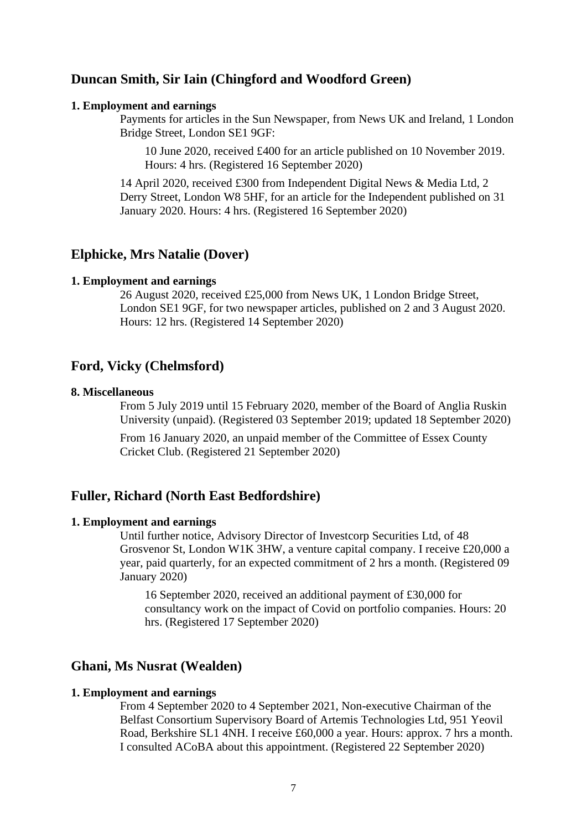### **Duncan Smith, Sir Iain (Chingford and Woodford Green)**

#### **1. Employment and earnings**

Payments for articles in the Sun Newspaper, from News UK and Ireland, 1 London Bridge Street, London SE1 9GF:

10 June 2020, received £400 for an article published on 10 November 2019. Hours: 4 hrs. (Registered 16 September 2020)

14 April 2020, received £300 from Independent Digital News & Media Ltd, 2 Derry Street, London W8 5HF, for an article for the Independent published on 31 January 2020. Hours: 4 hrs. (Registered 16 September 2020)

### **Elphicke, Mrs Natalie (Dover)**

#### **1. Employment and earnings**

26 August 2020, received £25,000 from News UK, 1 London Bridge Street, London SE1 9GF, for two newspaper articles, published on 2 and 3 August 2020. Hours: 12 hrs. (Registered 14 September 2020)

### **Ford, Vicky (Chelmsford)**

#### **8. Miscellaneous**

From 5 July 2019 until 15 February 2020, member of the Board of Anglia Ruskin University (unpaid). (Registered 03 September 2019; updated 18 September 2020)

From 16 January 2020, an unpaid member of the Committee of Essex County Cricket Club. (Registered 21 September 2020)

### **Fuller, Richard (North East Bedfordshire)**

#### **1. Employment and earnings**

Until further notice, Advisory Director of Investcorp Securities Ltd, of 48 Grosvenor St, London W1K 3HW, a venture capital company. I receive £20,000 a year, paid quarterly, for an expected commitment of 2 hrs a month. (Registered 09 January 2020)

16 September 2020, received an additional payment of £30,000 for consultancy work on the impact of Covid on portfolio companies. Hours: 20 hrs. (Registered 17 September 2020)

### **Ghani, Ms Nusrat (Wealden)**

#### **1. Employment and earnings**

From 4 September 2020 to 4 September 2021, Non-executive Chairman of the Belfast Consortium Supervisory Board of Artemis Technologies Ltd, 951 Yeovil Road, Berkshire SL1 4NH. I receive £60,000 a year. Hours: approx. 7 hrs a month. I consulted ACoBA about this appointment. (Registered 22 September 2020)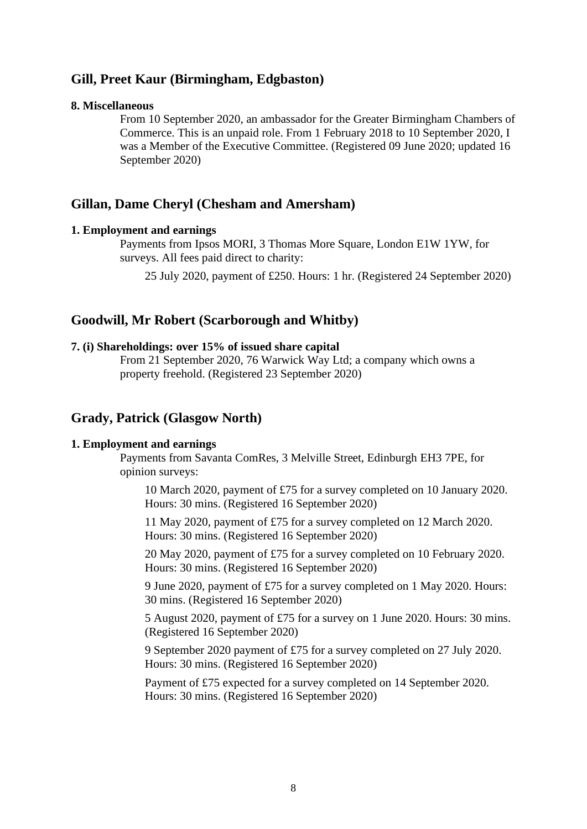# **Gill, Preet Kaur (Birmingham, Edgbaston)**

#### **8. Miscellaneous**

From 10 September 2020, an ambassador for the Greater Birmingham Chambers of Commerce. This is an unpaid role. From 1 February 2018 to 10 September 2020, I was a Member of the Executive Committee. (Registered 09 June 2020; updated 16 September 2020)

### **Gillan, Dame Cheryl (Chesham and Amersham)**

#### **1. Employment and earnings**

Payments from Ipsos MORI, 3 Thomas More Square, London E1W 1YW, for surveys. All fees paid direct to charity:

25 July 2020, payment of £250. Hours: 1 hr. (Registered 24 September 2020)

# **Goodwill, Mr Robert (Scarborough and Whitby)**

#### **7. (i) Shareholdings: over 15% of issued share capital**

From 21 September 2020, 76 Warwick Way Ltd; a company which owns a property freehold. (Registered 23 September 2020)

### **Grady, Patrick (Glasgow North)**

#### **1. Employment and earnings**

Payments from Savanta ComRes, 3 Melville Street, Edinburgh EH3 7PE, for opinion surveys:

10 March 2020, payment of £75 for a survey completed on 10 January 2020. Hours: 30 mins. (Registered 16 September 2020)

11 May 2020, payment of £75 for a survey completed on 12 March 2020. Hours: 30 mins. (Registered 16 September 2020)

20 May 2020, payment of £75 for a survey completed on 10 February 2020. Hours: 30 mins. (Registered 16 September 2020)

9 June 2020, payment of £75 for a survey completed on 1 May 2020. Hours: 30 mins. (Registered 16 September 2020)

5 August 2020, payment of £75 for a survey on 1 June 2020. Hours: 30 mins. (Registered 16 September 2020)

9 September 2020 payment of £75 for a survey completed on 27 July 2020. Hours: 30 mins. (Registered 16 September 2020)

Payment of £75 expected for a survey completed on 14 September 2020. Hours: 30 mins. (Registered 16 September 2020)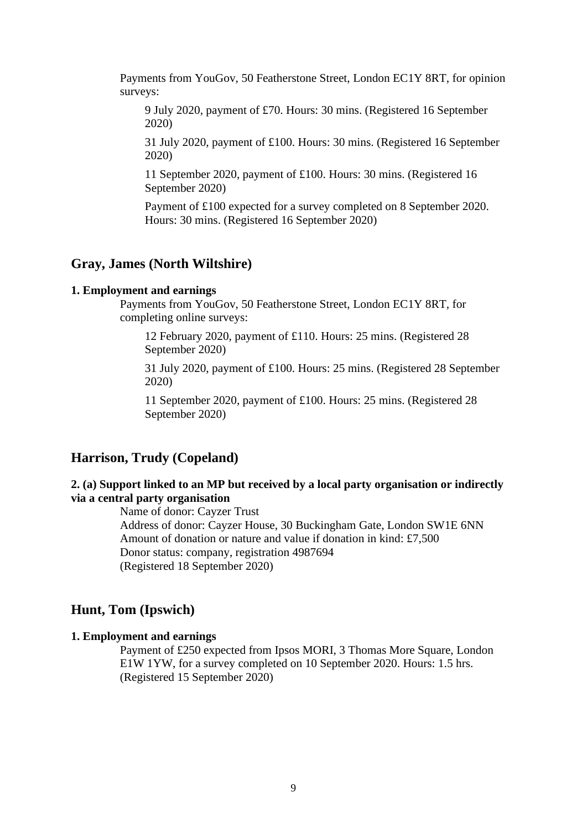Payments from YouGov, 50 Featherstone Street, London EC1Y 8RT, for opinion surveys:

9 July 2020, payment of £70. Hours: 30 mins. (Registered 16 September 2020)

31 July 2020, payment of £100. Hours: 30 mins. (Registered 16 September 2020)

11 September 2020, payment of £100. Hours: 30 mins. (Registered 16 September 2020)

Payment of £100 expected for a survey completed on 8 September 2020. Hours: 30 mins. (Registered 16 September 2020)

# **Gray, James (North Wiltshire)**

#### **1. Employment and earnings**

Payments from YouGov, 50 Featherstone Street, London EC1Y 8RT, for completing online surveys:

12 February 2020, payment of £110. Hours: 25 mins. (Registered 28 September 2020)

31 July 2020, payment of £100. Hours: 25 mins. (Registered 28 September 2020)

11 September 2020, payment of £100. Hours: 25 mins. (Registered 28 September 2020)

# **Harrison, Trudy (Copeland)**

### **2. (a) Support linked to an MP but received by a local party organisation or indirectly via a central party organisation**

Name of donor: Cayzer Trust Address of donor: Cayzer House, 30 Buckingham Gate, London SW1E 6NN Amount of donation or nature and value if donation in kind: £7,500 Donor status: company, registration 4987694 (Registered 18 September 2020)

# **Hunt, Tom (Ipswich)**

#### **1. Employment and earnings**

Payment of £250 expected from Ipsos MORI, 3 Thomas More Square, London E1W 1YW, for a survey completed on 10 September 2020. Hours: 1.5 hrs. (Registered 15 September 2020)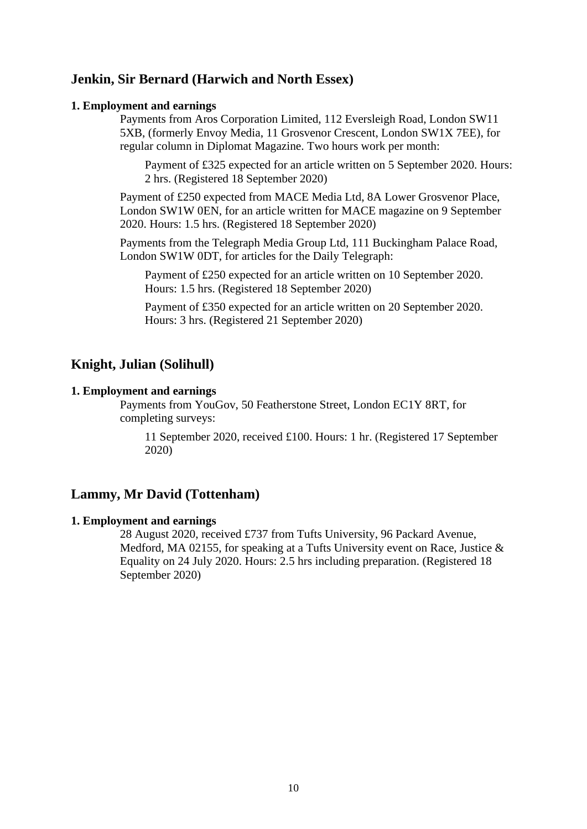# **Jenkin, Sir Bernard (Harwich and North Essex)**

#### **1. Employment and earnings**

Payments from Aros Corporation Limited, 112 Eversleigh Road, London SW11 5XB, (formerly Envoy Media, 11 Grosvenor Crescent, London SW1X 7EE), for regular column in Diplomat Magazine. Two hours work per month:

Payment of £325 expected for an article written on 5 September 2020. Hours: 2 hrs. (Registered 18 September 2020)

Payment of £250 expected from MACE Media Ltd, 8A Lower Grosvenor Place, London SW1W 0EN, for an article written for MACE magazine on 9 September 2020. Hours: 1.5 hrs. (Registered 18 September 2020)

Payments from the Telegraph Media Group Ltd, 111 Buckingham Palace Road, London SW1W 0DT, for articles for the Daily Telegraph:

Payment of £250 expected for an article written on 10 September 2020. Hours: 1.5 hrs. (Registered 18 September 2020)

Payment of £350 expected for an article written on 20 September 2020. Hours: 3 hrs. (Registered 21 September 2020)

# **Knight, Julian (Solihull)**

#### **1. Employment and earnings**

Payments from YouGov, 50 Featherstone Street, London EC1Y 8RT, for completing surveys:

11 September 2020, received £100. Hours: 1 hr. (Registered 17 September 2020)

### **Lammy, Mr David (Tottenham)**

### **1. Employment and earnings**

28 August 2020, received £737 from Tufts University, 96 Packard Avenue, Medford, MA 02155, for speaking at a Tufts University event on Race, Justice & Equality on 24 July 2020. Hours: 2.5 hrs including preparation. (Registered 18 September 2020)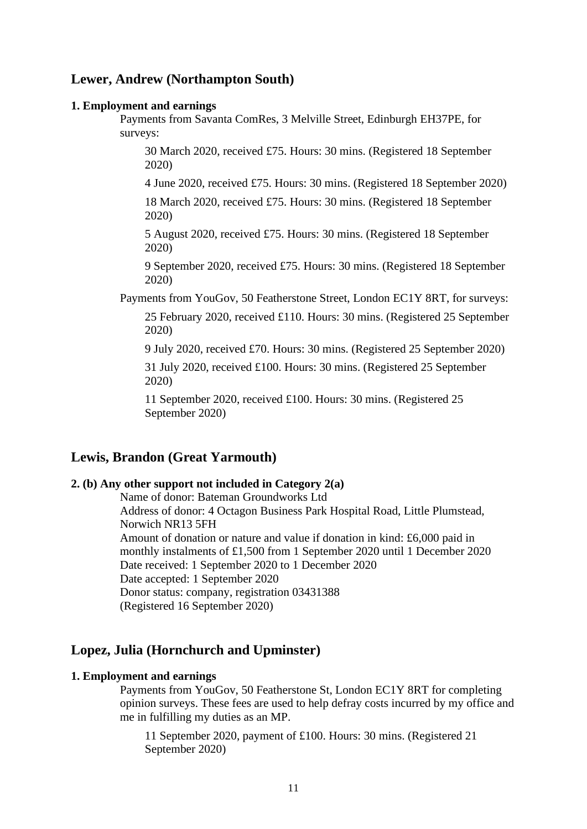# **Lewer, Andrew (Northampton South)**

#### **1. Employment and earnings**

Payments from Savanta ComRes, 3 Melville Street, Edinburgh EH37PE, for surveys:

30 March 2020, received £75. Hours: 30 mins. (Registered 18 September 2020)

4 June 2020, received £75. Hours: 30 mins. (Registered 18 September 2020) 18 March 2020, received £75. Hours: 30 mins. (Registered 18 September 2020)

5 August 2020, received £75. Hours: 30 mins. (Registered 18 September 2020)

9 September 2020, received £75. Hours: 30 mins. (Registered 18 September 2020)

Payments from YouGov, 50 Featherstone Street, London EC1Y 8RT, for surveys:

25 February 2020, received £110. Hours: 30 mins. (Registered 25 September 2020)

9 July 2020, received £70. Hours: 30 mins. (Registered 25 September 2020)

31 July 2020, received £100. Hours: 30 mins. (Registered 25 September 2020)

11 September 2020, received £100. Hours: 30 mins. (Registered 25 September 2020)

# **Lewis, Brandon (Great Yarmouth)**

#### **2. (b) Any other support not included in Category 2(a)**

Name of donor: Bateman Groundworks Ltd Address of donor: 4 Octagon Business Park Hospital Road, Little Plumstead, Norwich NR13 5FH Amount of donation or nature and value if donation in kind: £6,000 paid in monthly instalments of £1,500 from 1 September 2020 until 1 December 2020 Date received: 1 September 2020 to 1 December 2020 Date accepted: 1 September 2020 Donor status: company, registration 03431388 (Registered 16 September 2020)

# **Lopez, Julia (Hornchurch and Upminster)**

### **1. Employment and earnings**

Payments from YouGov, 50 Featherstone St, London EC1Y 8RT for completing opinion surveys. These fees are used to help defray costs incurred by my office and me in fulfilling my duties as an MP.

11 September 2020, payment of £100. Hours: 30 mins. (Registered 21 September 2020)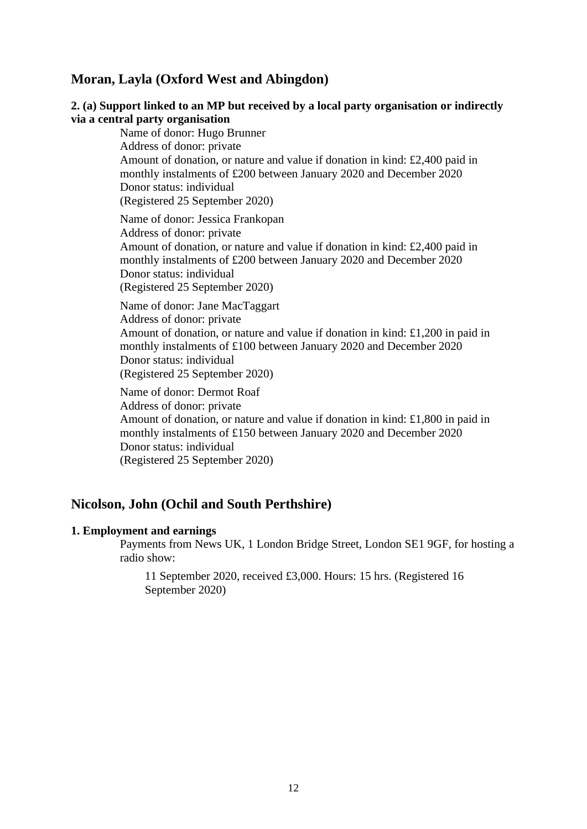# **Moran, Layla (Oxford West and Abingdon)**

### **2. (a) Support linked to an MP but received by a local party organisation or indirectly via a central party organisation**

Name of donor: Hugo Brunner Address of donor: private Amount of donation, or nature and value if donation in kind: £2,400 paid in monthly instalments of £200 between January 2020 and December 2020 Donor status: individual (Registered 25 September 2020) Name of donor: Jessica Frankopan

Address of donor: private Amount of donation, or nature and value if donation in kind: £2,400 paid in monthly instalments of £200 between January 2020 and December 2020 Donor status: individual (Registered 25 September 2020)

Name of donor: Jane MacTaggart Address of donor: private Amount of donation, or nature and value if donation in kind: £1,200 in paid in monthly instalments of £100 between January 2020 and December 2020 Donor status: individual (Registered 25 September 2020)

Name of donor: Dermot Roaf Address of donor: private Amount of donation, or nature and value if donation in kind: £1,800 in paid in monthly instalments of £150 between January 2020 and December 2020 Donor status: individual (Registered 25 September 2020)

# **Nicolson, John (Ochil and South Perthshire)**

### **1. Employment and earnings**

Payments from News UK, 1 London Bridge Street, London SE1 9GF, for hosting a radio show:

11 September 2020, received £3,000. Hours: 15 hrs. (Registered 16 September 2020)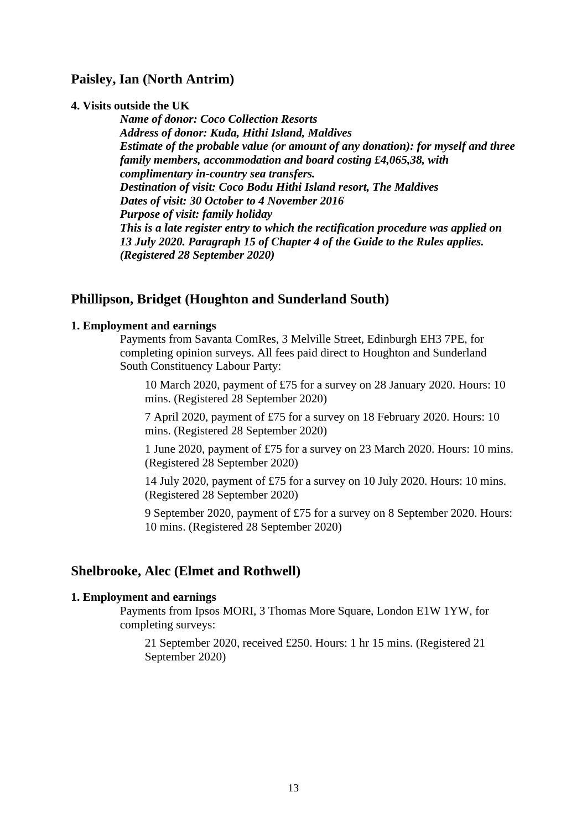# **Paisley, Ian (North Antrim)**

#### **4. Visits outside the UK**

*Name of donor: Coco Collection Resorts Address of donor: Kuda, Hithi Island, Maldives Estimate of the probable value (or amount of any donation): for myself and three family members, accommodation and board costing £4,065,38, with complimentary in-country sea transfers. Destination of visit: Coco Bodu Hithi Island resort, The Maldives Dates of visit: 30 October to 4 November 2016 Purpose of visit: family holiday This is a late register entry to which the rectification procedure was applied on 13 July 2020. Paragraph 15 of Chapter 4 of the Guide to the Rules applies. (Registered 28 September 2020)*

### **Phillipson, Bridget (Houghton and Sunderland South)**

#### **1. Employment and earnings**

Payments from Savanta ComRes, 3 Melville Street, Edinburgh EH3 7PE, for completing opinion surveys. All fees paid direct to Houghton and Sunderland South Constituency Labour Party:

10 March 2020, payment of £75 for a survey on 28 January 2020. Hours: 10 mins. (Registered 28 September 2020)

7 April 2020, payment of £75 for a survey on 18 February 2020. Hours: 10 mins. (Registered 28 September 2020)

1 June 2020, payment of £75 for a survey on 23 March 2020. Hours: 10 mins. (Registered 28 September 2020)

14 July 2020, payment of £75 for a survey on 10 July 2020. Hours: 10 mins. (Registered 28 September 2020)

9 September 2020, payment of £75 for a survey on 8 September 2020. Hours: 10 mins. (Registered 28 September 2020)

### **Shelbrooke, Alec (Elmet and Rothwell)**

### **1. Employment and earnings**

Payments from Ipsos MORI, 3 Thomas More Square, London E1W 1YW, for completing surveys:

21 September 2020, received £250. Hours: 1 hr 15 mins. (Registered 21 September 2020)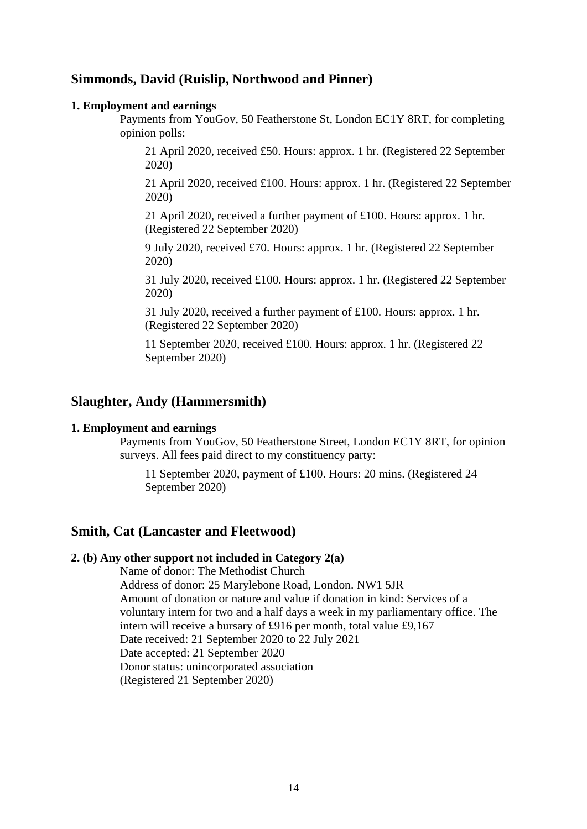# **Simmonds, David (Ruislip, Northwood and Pinner)**

#### **1. Employment and earnings**

Payments from YouGov, 50 Featherstone St, London EC1Y 8RT, for completing opinion polls:

21 April 2020, received £50. Hours: approx. 1 hr. (Registered 22 September 2020)

21 April 2020, received £100. Hours: approx. 1 hr. (Registered 22 September 2020)

21 April 2020, received a further payment of £100. Hours: approx. 1 hr. (Registered 22 September 2020)

9 July 2020, received £70. Hours: approx. 1 hr. (Registered 22 September 2020)

31 July 2020, received £100. Hours: approx. 1 hr. (Registered 22 September 2020)

31 July 2020, received a further payment of £100. Hours: approx. 1 hr. (Registered 22 September 2020)

11 September 2020, received £100. Hours: approx. 1 hr. (Registered 22 September 2020)

# **Slaughter, Andy (Hammersmith)**

#### **1. Employment and earnings**

Payments from YouGov, 50 Featherstone Street, London EC1Y 8RT, for opinion surveys. All fees paid direct to my constituency party:

11 September 2020, payment of £100. Hours: 20 mins. (Registered 24 September 2020)

# **Smith, Cat (Lancaster and Fleetwood)**

### **2. (b) Any other support not included in Category 2(a)**

Name of donor: The Methodist Church Address of donor: 25 Marylebone Road, London. NW1 5JR Amount of donation or nature and value if donation in kind: Services of a voluntary intern for two and a half days a week in my parliamentary office. The intern will receive a bursary of £916 per month, total value £9,167 Date received: 21 September 2020 to 22 July 2021 Date accepted: 21 September 2020 Donor status: unincorporated association (Registered 21 September 2020)